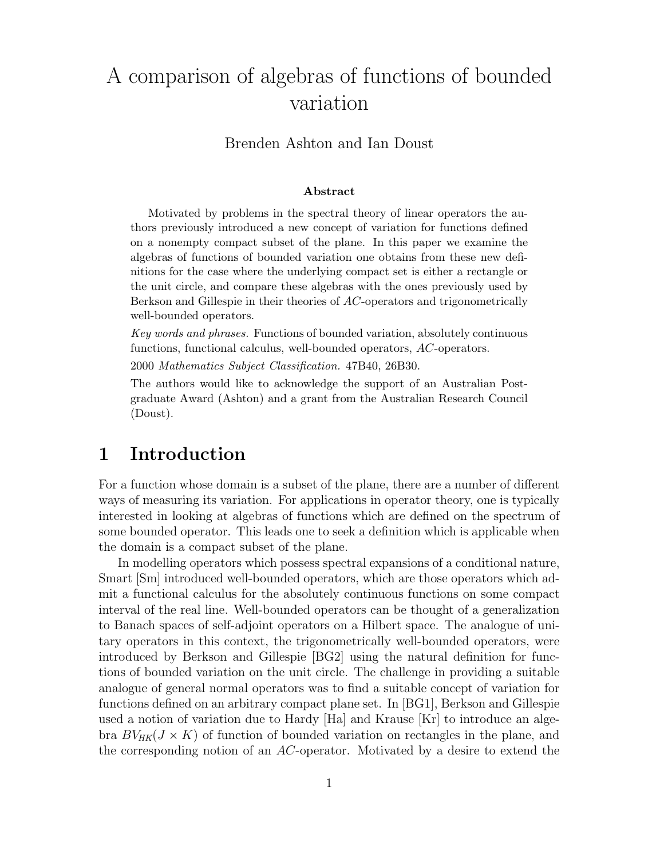# A comparison of algebras of functions of bounded variation

#### Brenden Ashton and Ian Doust

#### Abstract

Motivated by problems in the spectral theory of linear operators the authors previously introduced a new concept of variation for functions defined on a nonempty compact subset of the plane. In this paper we examine the algebras of functions of bounded variation one obtains from these new definitions for the case where the underlying compact set is either a rectangle or the unit circle, and compare these algebras with the ones previously used by Berkson and Gillespie in their theories of AC-operators and trigonometrically well-bounded operators.

Key words and phrases. Functions of bounded variation, absolutely continuous functions, functional calculus, well-bounded operators, AC-operators.

2000 Mathematics Subject Classification. 47B40, 26B30.

The authors would like to acknowledge the support of an Australian Postgraduate Award (Ashton) and a grant from the Australian Research Council (Doust).

#### 1 Introduction

For a function whose domain is a subset of the plane, there are a number of different ways of measuring its variation. For applications in operator theory, one is typically interested in looking at algebras of functions which are defined on the spectrum of some bounded operator. This leads one to seek a definition which is applicable when the domain is a compact subset of the plane.

In modelling operators which possess spectral expansions of a conditional nature, Smart [Sm] introduced well-bounded operators, which are those operators which admit a functional calculus for the absolutely continuous functions on some compact interval of the real line. Well-bounded operators can be thought of a generalization to Banach spaces of self-adjoint operators on a Hilbert space. The analogue of unitary operators in this context, the trigonometrically well-bounded operators, were introduced by Berkson and Gillespie [BG2] using the natural definition for functions of bounded variation on the unit circle. The challenge in providing a suitable analogue of general normal operators was to find a suitable concept of variation for functions defined on an arbitrary compact plane set. In [BG1], Berkson and Gillespie used a notion of variation due to Hardy [Ha] and Krause [Kr] to introduce an algebra  $BV_{HK}(J \times K)$  of function of bounded variation on rectangles in the plane, and the corresponding notion of an AC-operator. Motivated by a desire to extend the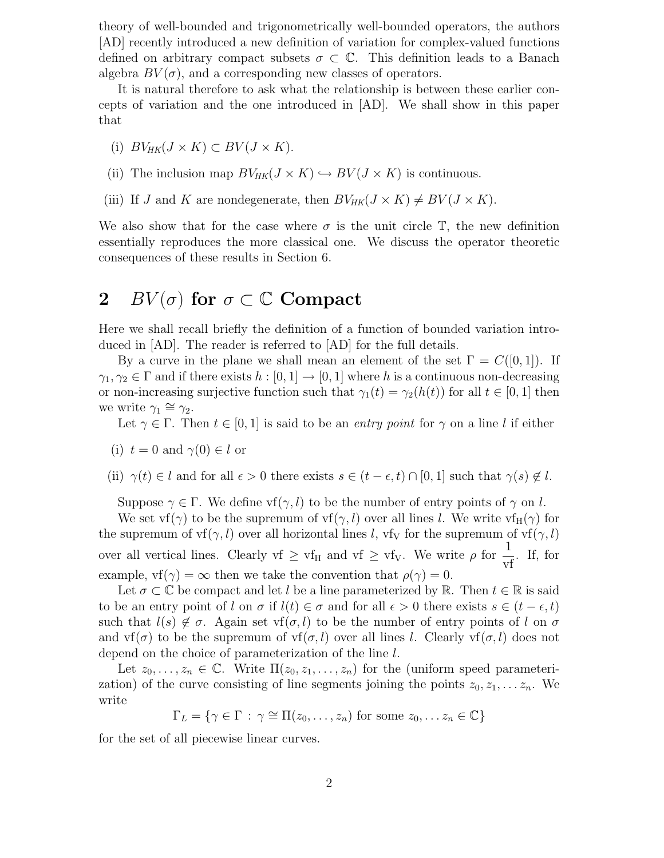theory of well-bounded and trigonometrically well-bounded operators, the authors [AD] recently introduced a new definition of variation for complex-valued functions defined on arbitrary compact subsets  $\sigma \subset \mathbb{C}$ . This definition leads to a Banach algebra  $BV(\sigma)$ , and a corresponding new classes of operators.

It is natural therefore to ask what the relationship is between these earlier concepts of variation and the one introduced in [AD]. We shall show in this paper that

- (i)  $BV_{HK}(J \times K) \subset BV(J \times K).$
- (ii) The inclusion map  $BV_{HK}(J \times K) \hookrightarrow BV(J \times K)$  is continuous.
- (iii) If J and K are nondegenerate, then  $BV_{HK}(J \times K) \neq BV(J \times K)$ .

We also show that for the case where  $\sigma$  is the unit circle  $\mathbb{T}$ , the new definition essentially reproduces the more classical one. We discuss the operator theoretic consequences of these results in Section 6.

### 2 BV $(\sigma)$  for  $\sigma \subset \mathbb{C}$  Compact

Here we shall recall briefly the definition of a function of bounded variation introduced in [AD]. The reader is referred to [AD] for the full details.

By a curve in the plane we shall mean an element of the set  $\Gamma = C([0, 1])$ . If  $\gamma_1, \gamma_2 \in \Gamma$  and if there exists  $h : [0, 1] \to [0, 1]$  where h is a continuous non-decreasing or non-increasing surjective function such that  $\gamma_1(t) = \gamma_2(h(t))$  for all  $t \in [0, 1]$  then we write  $\gamma_1 \cong \gamma_2$ .

Let  $\gamma \in \Gamma$ . Then  $t \in [0,1]$  is said to be an entry point for  $\gamma$  on a line l if either

(i) 
$$
t = 0
$$
 and  $\gamma(0) \in l$  or

(ii)  $\gamma(t) \in l$  and for all  $\epsilon > 0$  there exists  $s \in (t - \epsilon, t) \cap [0, 1]$  such that  $\gamma(s) \notin l$ .

Suppose  $\gamma \in \Gamma$ . We define vf( $\gamma$ , l) to be the number of entry points of  $\gamma$  on l.

We set vf( $\gamma$ ) to be the supremum of vf( $\gamma$ , l) over all lines l. We write vf<sub>H</sub>( $\gamma$ ) for the supremum of  $\text{vf}(\gamma, l)$  over all horizontal lines l,  $\text{vf}_V$  for the supremum of  $\text{vf}(\gamma, l)$ over all vertical lines. Clearly vf  $\geq$  vf<sub>H</sub> and vf  $\geq$  vf<sub>V</sub>. We write  $\rho$  for  $\frac{1}{\text{vf}}$ . If, for example,  $\text{vf}(\gamma) = \infty$  then we take the convention that  $\rho(\gamma) = 0$ .

Let  $\sigma \subset \mathbb{C}$  be compact and let l be a line parameterized by R. Then  $t \in \mathbb{R}$  is said to be an entry point of l on  $\sigma$  if  $l(t) \in \sigma$  and for all  $\epsilon > 0$  there exists  $s \in (t - \epsilon, t)$ such that  $l(s) \notin \sigma$ . Again set vf( $\sigma$ , l) to be the number of entry points of l on  $\sigma$ and  $\text{vf}(\sigma)$  to be the supremum of  $\text{vf}(\sigma, l)$  over all lines l. Clearly  $\text{vf}(\sigma, l)$  does not depend on the choice of parameterization of the line l.

Let  $z_0, \ldots, z_n \in \mathbb{C}$ . Write  $\Pi(z_0, z_1, \ldots, z_n)$  for the (uniform speed parameterization) of the curve consisting of line segments joining the points  $z_0, z_1, \ldots z_n$ . We write

 $\Gamma_L = \{ \gamma \in \Gamma : \gamma \cong \Pi(z_0, \ldots, z_n) \text{ for some } z_0, \ldots z_n \in \mathbb{C} \}$ 

for the set of all piecewise linear curves.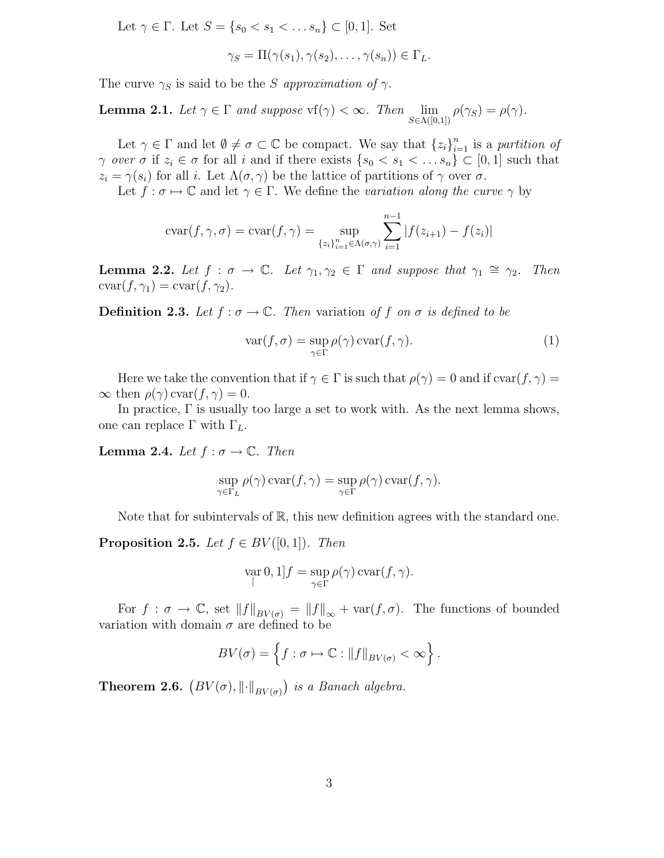Let  $\gamma \in \Gamma$ . Let  $S = \{s_0 < s_1 < \ldots s_n\} \subset [0,1]$ . Set

$$
\gamma_S = \Pi(\gamma(s_1), \gamma(s_2), \ldots, \gamma(s_n)) \in \Gamma_L.
$$

The curve  $\gamma_S$  is said to be the S approximation of  $\gamma$ .

**Lemma 2.1.** Let  $\gamma \in \Gamma$  and suppose  $\text{vf}(\gamma) < \infty$ . Then  $\lim_{S \in \Lambda([0,1])} \rho(\gamma_S) = \rho(\gamma)$ .

Let  $\gamma \in \Gamma$  and let  $\emptyset \neq \sigma \subset \mathbb{C}$  be compact. We say that  $\{z_i\}_{i=1}^n$  is a partition of  $\gamma$  over  $\sigma$  if  $z_i \in \sigma$  for all i and if there exists  $\{s_0 < s_1 < \ldots s_n\} \subset [0,1]$  such that  $z_i = \gamma(s_i)$  for all i. Let  $\Lambda(\sigma, \gamma)$  be the lattice of partitions of  $\gamma$  over  $\sigma$ .

Let  $f : \sigma \mapsto \mathbb{C}$  and let  $\gamma \in \Gamma$ . We define the variation along the curve  $\gamma$  by

$$
cvar(f, \gamma, \sigma) = \text{cvar}(f, \gamma) = \sup_{\{z_i\}_{i=1}^n \in \Lambda(\sigma, \gamma)} \sum_{i=1}^{n-1} |f(z_{i+1}) - f(z_i)|
$$

**Lemma 2.2.** Let  $f : \sigma \to \mathbb{C}$ . Let  $\gamma_1, \gamma_2 \in \Gamma$  and suppose that  $\gamma_1 \cong \gamma_2$ . Then  $cvar(f, \gamma_1) = var(f, \gamma_2).$ 

**Definition 2.3.** Let  $f : \sigma \to \mathbb{C}$ . Then variation of f on  $\sigma$  is defined to be

$$
\operatorname{var}(f, \sigma) = \sup_{\gamma \in \Gamma} \rho(\gamma) \operatorname{cvar}(f, \gamma).
$$
 (1)

Here we take the convention that if  $\gamma \in \Gamma$  is such that  $\rho(\gamma) = 0$  and if  $\text{cvar}(f, \gamma) =$  $\infty$  then  $\rho(\gamma)$  cvar $(f, \gamma) = 0$ .

In practice,  $\Gamma$  is usually too large a set to work with. As the next lemma shows, one can replace Γ with  $Γ<sub>L</sub>$ .

**Lemma 2.4.** Let  $f : \sigma \to \mathbb{C}$ . Then

$$
\sup_{\gamma \in \Gamma_L} \rho(\gamma) \operatorname{cvar}(f, \gamma) = \sup_{\gamma \in \Gamma} \rho(\gamma) \operatorname{cvar}(f, \gamma).
$$

Note that for subintervals of  $\mathbb{R}$ , this new definition agrees with the standard one.

**Proposition 2.5.** Let  $f \in BV([0, 1])$ . Then

$$
\operatorname*{var}_{[0,1]} f = \sup_{\gamma \in \Gamma} \rho(\gamma) \operatorname*{var}(f,\gamma).
$$

For  $f : \sigma \to \mathbb{C}$ , set  $||f||_{BV(\sigma)} = ||f||_{\infty} + \text{var}(f, \sigma)$ . The functions of bounded variation with domain  $\sigma$  are defined to be

$$
BV(\sigma) = \left\{ f : \sigma \mapsto \mathbb{C} : ||f||_{BV(\sigma)} < \infty \right\}.
$$

**Theorem 2.6.**  $(BV(\sigma), \|\cdot\|_{BV(\sigma)})$  is a Banach algebra.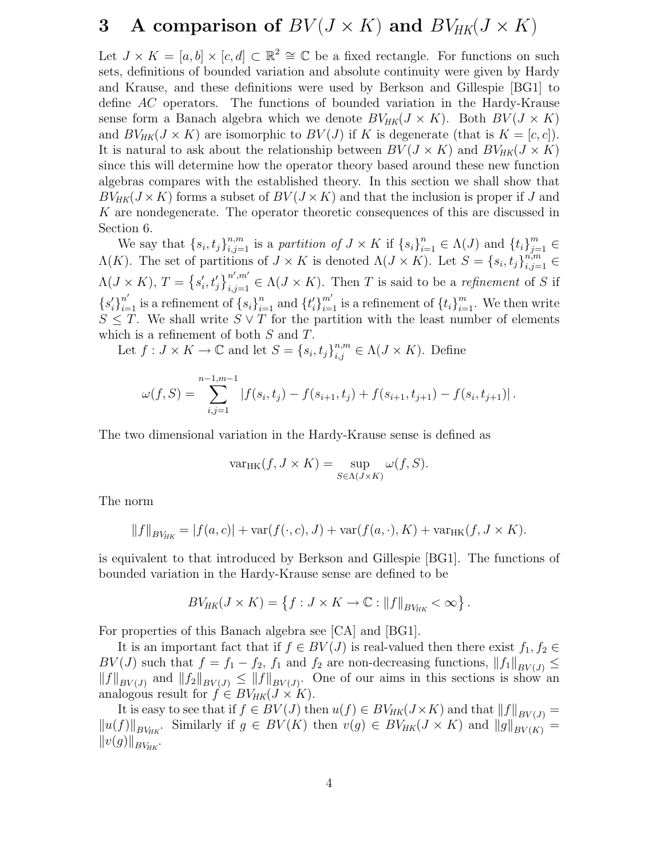## 3 A comparison of  $BV(J \times K)$  and  $BV_{HK}(J \times K)$

Let  $J \times K = [a, b] \times [c, d] \subset \mathbb{R}^2 \cong \mathbb{C}$  be a fixed rectangle. For functions on such sets, definitions of bounded variation and absolute continuity were given by Hardy and Krause, and these definitions were used by Berkson and Gillespie [BG1] to define AC operators. The functions of bounded variation in the Hardy-Krause sense form a Banach algebra which we denote  $BV_{HK}(J \times K)$ . Both  $BV(J \times K)$ and  $BV_{HK}(J \times K)$  are isomorphic to  $BV(J)$  if K is degenerate (that is  $K = [c, c]$ ). It is natural to ask about the relationship between  $BV(J \times K)$  and  $BV_{HK}(J \times K)$ since this will determine how the operator theory based around these new function algebras compares with the established theory. In this section we shall show that  $BV_{HK}(J \times K)$  forms a subset of  $BV(J \times K)$  and that the inclusion is proper if J and K are nondegenerate. The operator theoretic consequences of this are discussed in Section 6.

We say that  $\{s_i, t_j\}_{i,j=1}^{n,m}$  is a partition of  $J \times K$  if  $\{s_i\}_{i=1}^n \in \Lambda(J)$  and  $\{t_i\}_{j=1}^m \in$  $\Lambda(K)$ . The set of partitions of  $J \times K$  is denoted  $\Lambda(J \times K)$ . Let  $S = \{s_i, t_j\}_{i,j=1}^{n,m}$  $\Lambda(J \times K)$ ,  $T = \{s'_i, t'_j\}_{i,j=1}^{n',m'} \in \Lambda(J \times K)$ . Then T is said to be a refinement of S if  ${s'_{i}}}_{i=1}^{n'}$  is a refinement of  ${s_{i}}_{i=1}^{n}$  and  ${t'_{i}}$  $_{i=1}^{m'}$  is a refinement of  $\{t_i\}_{i=1}^m$ . We then write  $S \leq T$ . We shall write  $S \vee T$  for the partition with the least number of elements which is a refinement of both  $S$  and  $T$ .

Let  $f: J \times K \to \mathbb{C}$  and let  $S = \{s_i, t_j\}_{i,j}^{n,m} \in \Lambda(J \times K)$ . Define

$$
\omega(f,S) = \sum_{i,j=1}^{n-1,m-1} |f(s_i,t_j) - f(s_{i+1},t_j) + f(s_{i+1},t_{j+1}) - f(s_i,t_{j+1})|.
$$

The two dimensional variation in the Hardy-Krause sense is defined as

$$
\text{var}_{HK}(f, J \times K) = \sup_{S \in \Lambda(J \times K)} \omega(f, S).
$$

The norm

$$
||f||_{BV_{HK}} = |f(a, c)| + \text{var}(f(\cdot, c), J) + \text{var}(f(a, \cdot), K) + \text{var}_{HK}(f, J \times K).
$$

is equivalent to that introduced by Berkson and Gillespie [BG1]. The functions of bounded variation in the Hardy-Krause sense are defined to be

$$
BV_{HK}(J \times K) = \left\{ f : J \times K \to \mathbb{C} : ||f||_{BV_{HK}} < \infty \right\}.
$$

For properties of this Banach algebra see [CA] and [BG1].

It is an important fact that if  $f \in BV(J)$  is real-valued then there exist  $f_1, f_2 \in$ BV(J) such that  $f = f_1 - f_2$ ,  $f_1$  and  $f_2$  are non-decreasing functions,  $||f_1||_{BV(J)} \le$  $||f||_{BV(J)}$  and  $||f_2||_{BV(J)} \leq ||f||_{BV(J)}$ . One of our aims in this sections is show an analogous result for  $f \in BV_{HK}(J \times K)$ .

It is easy to see that if  $f \in BV(J)$  then  $u(f) \in BV_{HK}(J \times K)$  and that  $||f||_{BV(J)} =$  $||u(f)||_{BV_{HK}}$ Similarly if  $g \in BV(K)$  then  $v(g) \in BV_{HK}(J \times K)$  and  $||g||_{BV(K)} =$  $||v(g)||_{BV_{HK}}$ .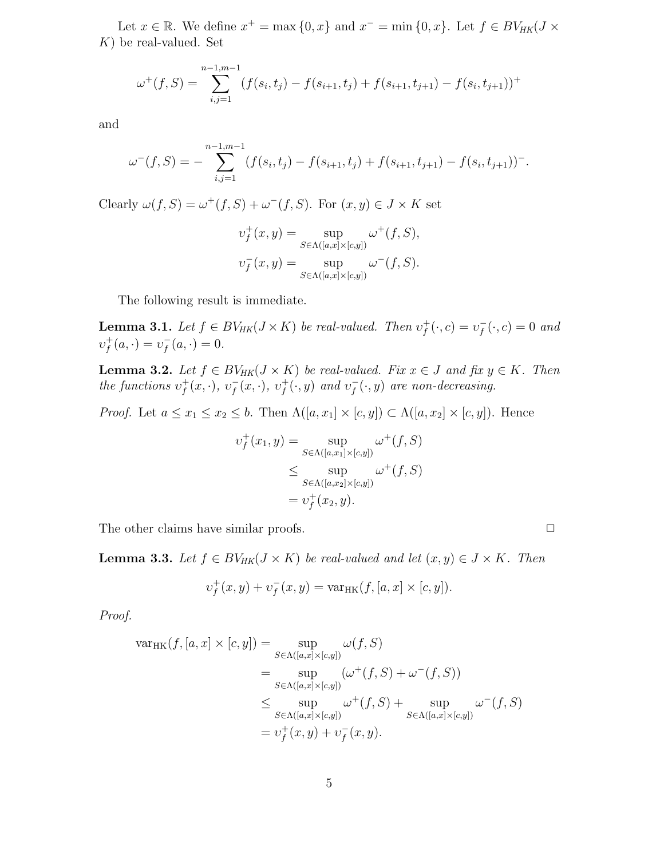Let  $x \in \mathbb{R}$ . We define  $x^+ = \max\{0, x\}$  and  $x^- = \min\{0, x\}$ . Let  $f \in BV_{HK}(J \times$  $K$ ) be real-valued. Set

$$
\omega^+(f, S) = \sum_{i,j=1}^{n-1,m-1} (f(s_i, t_j) - f(s_{i+1}, t_j) + f(s_{i+1}, t_{j+1}) - f(s_i, t_{j+1}))^+
$$

and

$$
\omega^{-}(f, S) = -\sum_{i,j=1}^{n-1,m-1} (f(s_i, t_j) - f(s_{i+1}, t_j) + f(s_{i+1}, t_{j+1}) - f(s_i, t_{j+1}))^{-}.
$$

Clearly  $\omega(f, S) = \omega^+(f, S) + \omega^-(f, S)$ . For  $(x, y) \in J \times K$  set

$$
v_f^+(x, y) = \sup_{S \in \Lambda([a,x] \times [c,y])} \omega^+(f, S),
$$
  

$$
v_f^-(x, y) = \sup_{S \in \Lambda([a,x] \times [c,y])} \omega^-(f, S).
$$

The following result is immediate.

**Lemma 3.1.** Let  $f \in BV_{HK}(J \times K)$  be real-valued. Then  $v_f^+$  $f^+(\cdot, c) = v_f^$  $f(\cdot, c) = 0$  and  $v_f^+$  $f^+(a, \cdot) = v_f^$  $f^{-}(a,\cdot) = 0.$ 

**Lemma 3.2.** Let  $f \in BV_{HK}(J \times K)$  be real-valued. Fix  $x \in J$  and fix  $y \in K$ . Then the functions  $v_f^+$  $f^+(x, \cdot), v^-_f$  $f(x, \cdot), v_f^+$  $f^+(\cdot, y)$  and  $v_f^$  $f(\cdot, y)$  are non-decreasing.

*Proof.* Let  $a \le x_1 \le x_2 \le b$ . Then  $\Lambda([a, x_1] \times [c, y]) \subset \Lambda([a, x_2] \times [c, y])$ . Hence

$$
v_f^+(x_1, y) = \sup_{S \in \Lambda([a, x_1] \times [c, y])} \omega^+(f, S)
$$
  
\n
$$
\leq \sup_{S \in \Lambda([a, x_2] \times [c, y])} \omega^+(f, S)
$$
  
\n
$$
= v_f^+(x_2, y).
$$

The other claims have similar proofs.  $\Box$ 

**Lemma 3.3.** Let  $f \in BV_{HK}(J \times K)$  be real-valued and let  $(x, y) \in J \times K$ . Then

$$
\upsilon^+_f(x,y)+\upsilon^-_f(x,y)=\text{var}_{\text{HK}}(f,[a,x]\times [c,y]).
$$

Proof.

$$
\operatorname{var}_{HK}(f, [a, x] \times [c, y]) = \sup_{S \in \Lambda([a, x] \times [c, y])} \omega(f, S)
$$
  
\n
$$
= \sup_{S \in \Lambda([a, x] \times [c, y])} (\omega^+(f, S) + \omega^-(f, S))
$$
  
\n
$$
\leq \sup_{S \in \Lambda([a, x] \times [c, y])} \omega^+(f, S) + \sup_{S \in \Lambda([a, x] \times [c, y])} \omega^-(f, S)
$$
  
\n
$$
= \upsilon_f^+(x, y) + \upsilon_f^-(x, y).
$$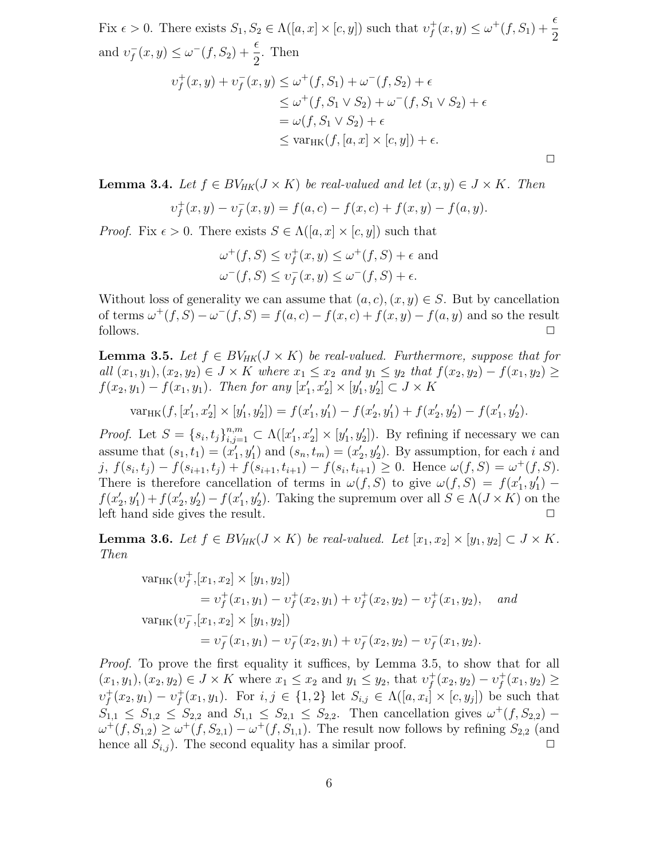Fix  $\epsilon > 0$ . There exists  $S_1, S_2 \in \Lambda([a, x] \times [c, y])$  such that  $v_f^+$  $f(x, y) \leq \omega^{+}(f, S_1) + \frac{\epsilon}{2}$ and  $v_f^$  $f(x, y) \leq \omega^{-}(f, S_2) + \frac{\epsilon}{2}$ . Then  $v_f^+$  $f^+(x, y) + \nu_f^$  $f(x, y) \le \omega^+(f, S_1) + \omega^-(f, S_2) + \epsilon$  $\leq \omega^+(f, S_1 \vee S_2) + \omega^-(f, S_1 \vee S_2) + \epsilon$  $=\omega(f, S_1 \vee S_2) + \epsilon$  $\langle \text{var}_{HK}(f, [a, x] \times [c, y]) + \epsilon.$  $\Box$ 

**Lemma 3.4.** Let  $f \in BV_{HK}(J \times K)$  be real-valued and let  $(x, y) \in J \times K$ . Then

$$
v_f^+(x,y) - v_f^-(x,y) = f(a,c) - f(x,c) + f(x,y) - f(a,y).
$$

*Proof.* Fix  $\epsilon > 0$ . There exists  $S \in \Lambda([a, x] \times [c, y])$  such that

$$
\omega^+(f, S) \le \upsilon_f^+(x, y) \le \omega^+(f, S) + \epsilon \text{ and}
$$
  

$$
\omega^-(f, S) \le \upsilon_f^-(x, y) \le \omega^-(f, S) + \epsilon.
$$

Without loss of generality we can assume that  $(a, c), (x, y) \in S$ . But by cancellation of terms  $\omega^+(f, S) - \omega^-(f, S) = f(a, c) - f(x, c) + f(x, y) - f(a, y)$  and so the result follows.  $\Box$ 

**Lemma 3.5.** Let  $f \in BV_{HK}(J \times K)$  be real-valued. Furthermore, suppose that for all  $(x_1, y_1), (x_2, y_2) \in J \times K$  where  $x_1 \le x_2$  and  $y_1 \le y_2$  that  $f(x_2, y_2) - f(x_1, y_2) \ge$  $f(x_2, y_1) - f(x_1, y_1)$ . Then for any  $[x'_1, x'_2] \times [y'_1, y'_2] \subset J \times K$ 

$$
\text{var}_{HK}(f, [x'_1, x'_2] \times [y'_1, y'_2]) = f(x'_1, y'_1) - f(x'_2, y'_1) + f(x'_2, y'_2) - f(x'_1, y'_2).
$$

*Proof.* Let  $S = \{s_i, t_j\}_{i,j=1}^{n,m} \subset \Lambda([x'_1, x'_2] \times [y'_1, y'_2])$ . By refining if necessary we can assume that  $(s_1, t_1) = (x'_1, y'_1)$  and  $(s_n, t_m) = (x'_2, y'_2)$ . By assumption, for each i and j,  $f(s_i, t_j) - f(s_{i+1}, t_j) + f(s_{i+1}, t_{i+1}) - f(s_i, t_{i+1}) \ge 0$ . Hence  $\omega(f, S) = \omega^+(f, S)$ . There is therefore cancellation of terms in  $\omega(f, S)$  to give  $\omega(f, S) = f(x'_1, y'_1)$  $f(x'_2, y'_1) + f(x'_2, y'_2) - f(x'_1, y'_2)$ . Taking the supremum over all  $S \in \Lambda(J \times K)$  on the left hand side gives the result.

**Lemma 3.6.** Let  $f \in BV_{HK}(J \times K)$  be real-valued. Let  $[x_1, x_2] \times [y_1, y_2] \subset J \times K$ . Then

$$
\begin{aligned}\n\text{var}_{HK}(v_f^+, [x_1, x_2] \times [y_1, y_2]) \\
&= v_f^+(x_1, y_1) - v_f^+(x_2, y_1) + v_f^+(x_2, y_2) - v_f^+(x_1, y_2), \quad \text{and} \\
\text{var}_{HK}(v_f^-, [x_1, x_2] \times [y_1, y_2]) \\
&= v_f^-(x_1, y_1) - v_f^-(x_2, y_1) + v_f^-(x_2, y_2) - v_f^-(x_1, y_2).\n\end{aligned}
$$

*Proof.* To prove the first equality it suffices, by Lemma 3.5, to show that for all  $(x_1, y_1), (x_2, y_2) \in J \times K$  where  $x_1 \le x_2$  and  $y_1 \le y_2$ , that  $v_f^+$  $f^+(x_2, y_2) - \nu_f^+$  $f(x_1, y_2) \geq$  $v_f^+$  $f^+(x_2, y_1) - v_f^+$  $f(x_1, y_1)$ . For  $i, j \in \{1, 2\}$  let  $S_{i,j} \in \Lambda([a, x_i] \times [c, y_j])$  be such that  $S_{1,1} \leq S_{1,2} \leq S_{2,2}$  and  $S_{1,1} \leq S_{2,1} \leq S_{2,2}$ . Then cancellation gives  $\omega^+(f, S_{2,2})$  $\omega^+(f, S_{1,2}) \geq \omega^+(f, S_{2,1}) - \omega^+(f, S_{1,1}).$  The result now follows by refining  $S_{2,2}$  (and hence all  $S_{i,j}$ ). The second equality has a similar proof.  $\Box$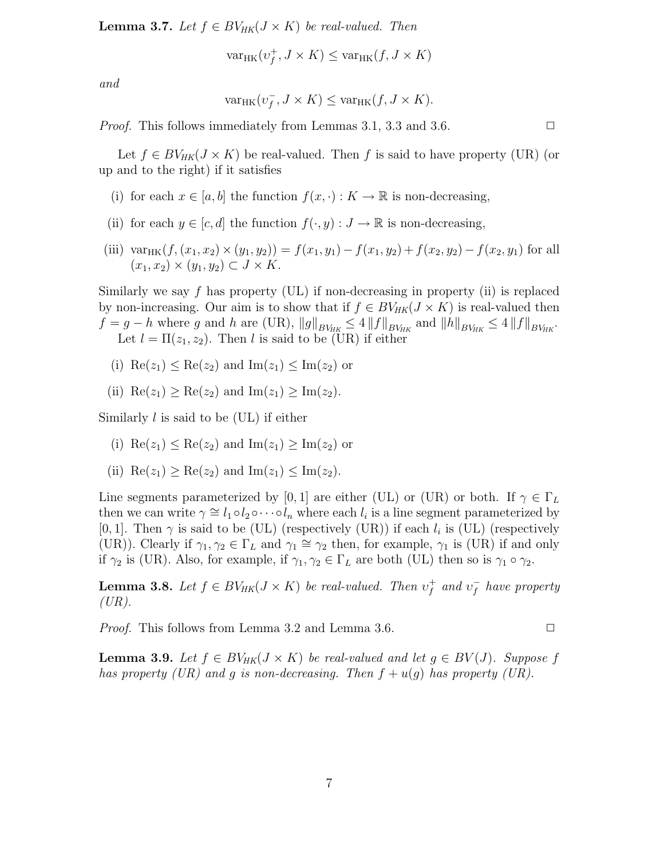**Lemma 3.7.** Let  $f \in BV_{HK}(J \times K)$  be real-valued. Then

 $var_{HK}(v_f^+)$  $f, J \times K$ )  $\leq$  var<sub>HK</sub> $(f, J \times K)$ 

and

$$
\text{var}_{HK}(v_f^-, J \times K) \leq \text{var}_{HK}(f, J \times K).
$$

*Proof.* This follows immediately from Lemmas 3.1, 3.3 and 3.6.  $\Box$ 

Let  $f \in BV_{HK}(J \times K)$  be real-valued. Then f is said to have property (UR) (or up and to the right) if it satisfies

- (i) for each  $x \in [a, b]$  the function  $f(x, \cdot) : K \to \mathbb{R}$  is non-decreasing,
- (ii) for each  $y \in [c, d]$  the function  $f(\cdot, y) : J \to \mathbb{R}$  is non-decreasing,
- (iii) var<sub>HK</sub> $(f,(x_1, x_2) \times (y_1, y_2)) = f(x_1, y_1) f(x_1, y_2) + f(x_2, y_2) f(x_2, y_1)$  for all  $(x_1, x_2) \times (y_1, y_2) \subset J \times K$ .

Similarly we say  $f$  has property (UL) if non-decreasing in property (ii) is replaced by non-increasing. Our aim is to show that if  $f \in BV_{HK}(J \times K)$  is real-valued then  $f = g - h$  where g and h are (UR),  $||g||_{BV_{HK}} \le 4 ||f||_{BV_{HK}}$  and  $||h||_{BV_{HK}} \le 4 ||f||_{BV_{HK}}$ . Let  $l = \Pi(z_1, z_2)$ . Then l is said to be (UR) if either

- (i)  $\text{Re}(z_1) < \text{Re}(z_2)$  and  $\text{Im}(z_1) < \text{Im}(z_2)$  or
- (ii)  $\text{Re}(z_1) \geq \text{Re}(z_2)$  and  $\text{Im}(z_1) \geq \text{Im}(z_2)$ .

Similarly l is said to be (UL) if either

- (i)  $\text{Re}(z_1) \leq \text{Re}(z_2)$  and  $\text{Im}(z_1) \geq \text{Im}(z_2)$  or
- (ii)  $\text{Re}(z_1) > \text{Re}(z_2)$  and  $\text{Im}(z_1) < \text{Im}(z_2)$ .

Line segments parameterized by [0, 1] are either (UL) or (UR) or both. If  $\gamma \in \Gamma_L$ then we can write  $\gamma \cong l_1 \circ l_2 \circ \cdots \circ l_n$  where each  $l_i$  is a line segment parameterized by [0, 1]. Then  $\gamma$  is said to be (UL) (respectively (UR)) if each  $l_i$  is (UL) (respectively (UR)). Clearly if  $\gamma_1, \gamma_2 \in \Gamma_L$  and  $\gamma_1 \cong \gamma_2$  then, for example,  $\gamma_1$  is (UR) if and only if  $\gamma_2$  is (UR). Also, for example, if  $\gamma_1, \gamma_2 \in \Gamma_L$  are both (UL) then so is  $\gamma_1 \circ \gamma_2$ .

**Lemma 3.8.** Let  $f \in BV_{HK}(J \times K)$  be real-valued. Then  $v_f^+$  $f$  and  $v_f^ \overline{f}$  have property  $(UR).$ 

*Proof.* This follows from Lemma 3.2 and Lemma 3.6.  $\square$ 

**Lemma 3.9.** Let  $f \in BV_{HK}(J \times K)$  be real-valued and let  $g \in BV(J)$ . Suppose f has property (UR) and g is non-decreasing. Then  $f + u(g)$  has property (UR).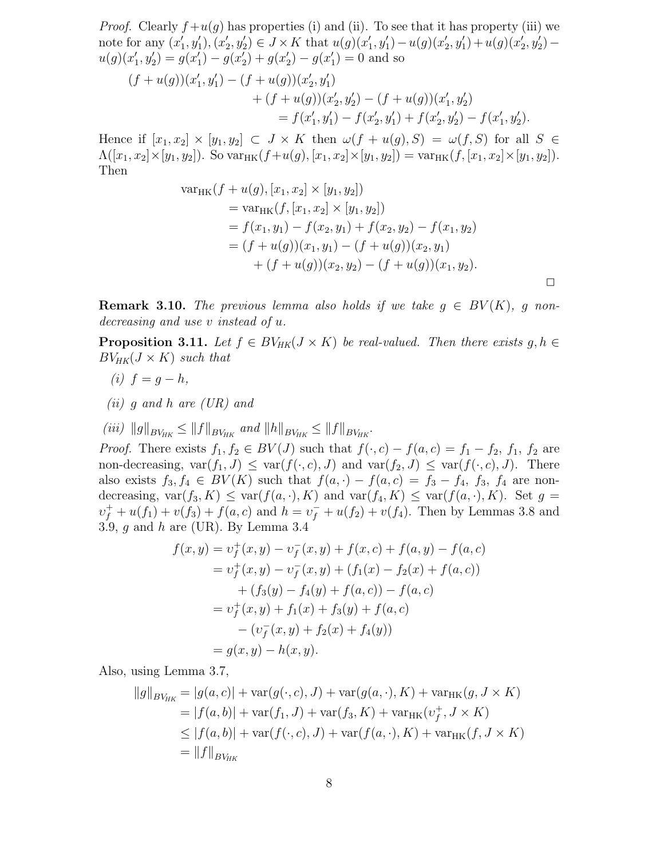*Proof.* Clearly  $f+u(g)$  has properties (i) and (ii). To see that it has property (iii) we note for any  $(x'_1, y'_1), (x'_2, y'_2) \in J \times K$  that  $u(g)(x'_1, y'_1) - u(g)(x'_2, y'_1) + u(g)(x'_2, y'_2)$  $u(g)(x'_1, y'_2) = g(x'_1) - g(x'_2) + g(x'_2) - g(x'_1) = 0$  and so

$$
(f+u(g))(x'_1, y'_1) - (f+u(g))(x'_2, y'_1)
$$
  
+ 
$$
(f+u(g))(x'_2, y'_2) - (f+u(g))(x'_1, y'_2)
$$
  
= 
$$
f(x'_1, y'_1) - f(x'_2, y'_1) + f(x'_2, y'_2) - f(x'_1, y'_2).
$$

Hence if  $[x_1, x_2] \times [y_1, y_2] \subset J \times K$  then  $\omega(f + u(g), S) = \omega(f, S)$  for all  $S \in$  $\Lambda([x_1, x_2] \times [y_1, y_2])$ . So  $\text{var}_{HK}(f+u(g), [x_1, x_2] \times [y_1, y_2]) = \text{var}_{HK}(f, [x_1, x_2] \times [y_1, y_2])$ . Then

var<sub>HK</sub>
$$
(f + u(g), [x_1, x_2] \times [y_1, y_2])
$$
  
\n
$$
= varHK(f, [x_1, x_2] \times [y_1, y_2])
$$
\n
$$
= f(x_1, y_1) - f(x_2, y_1) + f(x_2, y_2) - f(x_1, y_2)
$$
\n
$$
= (f + u(g))(x_1, y_1) - (f + u(g))(x_2, y_1)
$$
\n
$$
+ (f + u(g))(x_2, y_2) - (f + u(g))(x_1, y_2).
$$

**Remark 3.10.** The previous lemma also holds if we take  $q \in BV(K)$ , q nondecreasing and use v instead of u.

**Proposition 3.11.** Let  $f \in BV_{HK}(J \times K)$  be real-valued. Then there exists  $g, h \in$  $BV_{HK}(J \times K)$  such that

- (i)  $f = q h$ ,
- $(ii)$  g and h are  $(UR)$  and

(iii)  $||g||_{BV_{HK}} \leq ||f||_{BV_{HK}}$  and  $||h||_{BV_{HK}} \leq ||f||_{BV_{HK}}$ .

*Proof.* There exists  $f_1, f_2 \in BV(J)$  such that  $f(\cdot, c) - f(a, c) = f_1 - f_2$ ,  $f_1, f_2$  are non-decreasing,  $var(f_1, J) \leq var(f(\cdot, c), J)$  and  $var(f_2, J) \leq var(f(\cdot, c), J)$ . There also exists  $f_3, f_4 \in BV(K)$  such that  $f(a, \cdot) - f(a, c) = f_3 - f_4$ ,  $f_3, f_4$  are nondecreasing,  $var(f_3, K) \leq var(f(a, \cdot), K)$  and  $var(f_4, K) \leq var(f(a, \cdot), K)$ . Set  $g =$  $v_f^+ + u(f_1) + v(f_3) + f(a, c)$  and  $h = v_f^- + u(f_2) + v(f_4)$ . Then by Lemmas 3.8 and 3.9, g and h are (UR). By Lemma 3.4

$$
f(x,y) = v_f^+(x,y) - v_f^-(x,y) + f(x,c) + f(a,y) - f(a,c)
$$
  
=  $v_f^+(x,y) - v_f^-(x,y) + (f_1(x) - f_2(x) + f(a,c))$   
+  $(f_3(y) - f_4(y) + f(a,c)) - f(a,c)$   
=  $v_f^+(x,y) + f_1(x) + f_3(y) + f(a,c)$   
-  $(v_f^-(x,y) + f_2(x) + f_4(y))$   
=  $g(x,y) - h(x,y)$ .

Also, using Lemma 3.7,

$$
||g||_{BV_{HK}} = |g(a, c)| + \text{var}(g(\cdot, c), J) + \text{var}(g(a, \cdot), K) + \text{var}_{HK}(g, J \times K)
$$
  
= |f(a, b)| + \text{var}(f\_1, J) + \text{var}(f\_3, K) + \text{var}\_{HK}(v\_f^+, J \times K)  

$$
\leq |f(a, b)| + \text{var}(f(\cdot, c), J) + \text{var}(f(a, \cdot), K) + \text{var}_{HK}(f, J \times K)
$$
  
= ||f||\_{BV\_{HK}}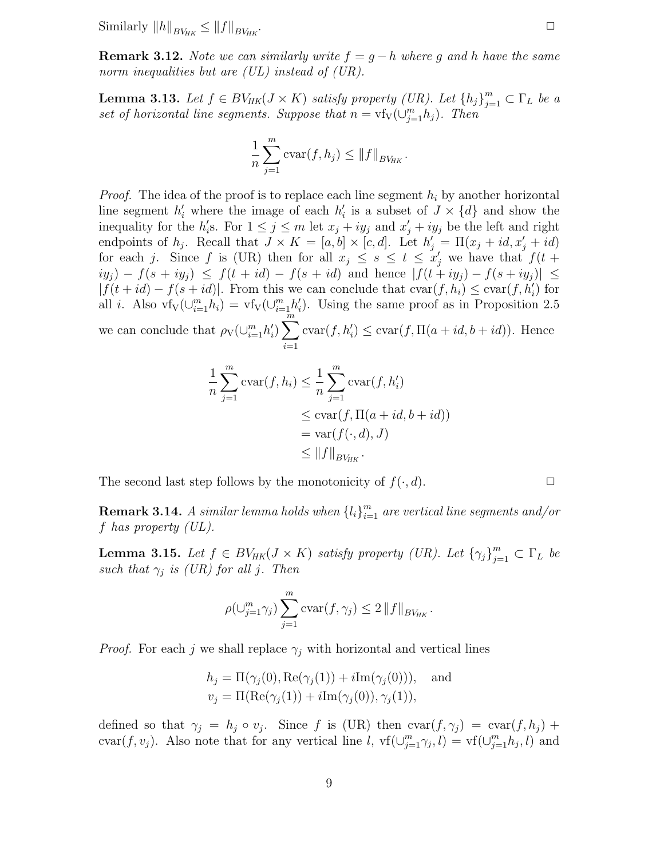Similarly  $||h||_{BV_{HK}} \leq ||f||_{BV_{HK}}$ 

**Remark 3.12.** Note we can similarly write  $f = q - h$  where q and h have the same norm inequalities but are *(UL)* instead of *(UR)*.

**Lemma 3.13.** Let  $f \in BV_{HK}(J \times K)$  satisfy property (UR). Let  $\{h_j\}_{j=1}^m \subset \Gamma_L$  be a set of horizontal line segments. Suppose that  $n = v f_V(\bigcup_{j=1}^m h_j)$ . Then

$$
\frac{1}{n} \sum_{j=1}^{m} \text{cvar}(f, h_j) \leq ||f||_{BV_{HK}}.
$$

*Proof.* The idea of the proof is to replace each line segment  $h_i$  by another horizontal line segment  $h'_i$  where the image of each  $h'_i$  is a subset of  $J \times \{d\}$  and show the inequality for the  $h_i$ 's. For  $1 \leq j \leq m$  let  $x_j + iy_j$  and  $x_j' + iy_j$  be the left and right endpoints of  $h_j$ . Recall that  $J \times K = [a, b] \times [c, d]$ . Let  $h'_j = \Pi(x_j + id, x'_j + id)$ for each j. Since f is (UR) then for all  $x_j \leq s \leq t \leq x'_j$  we have that  $f(t +$  $i(y_i) - f(s + iy_j) \leq f(t + id) - f(s + id)$  and hence  $|f(t + iy_j) - f(s + iy_j)| \leq$  $|f(t+id) - f(s+id)|$ . From this we can conclude that  $\text{cvar}(f, h_i) \leq \text{cvar}(f, h'_i)$  for all *i*. Also  $\text{vf}_V(\cup_{i=1}^m h_i) = \text{vf}_V(\cup_{i=\lfloor m \n\rfloor}^m h_i')$ . Using the same proof as in Proposition 2.5 we can conclude that  $\rho_V(\cup_{i=1}^m h'_i) \sum_{i=1}^m$ .  $i=1$  $\operatorname{cvar}(f, h'_i) \leq \operatorname{cvar}(f, \Pi(a + id, b + id)).$  Hence

$$
\frac{1}{n} \sum_{j=1}^{m} \text{cvar}(f, h_i) \leq \frac{1}{n} \sum_{j=1}^{m} \text{cvar}(f, h'_i)
$$
  
\n
$$
\leq \text{cvar}(f, \Pi(a + id, b + id))
$$
  
\n
$$
= \text{var}(f(\cdot, d), J)
$$
  
\n
$$
\leq ||f||_{BV_{HK}}.
$$

The second last step follows by the monotonicity of  $f(\cdot, d)$ .

**Remark 3.14.** A similar lemma holds when  $\{l_i\}_{i=1}^m$  are vertical line segments and/or f has property (UL).

**Lemma 3.15.** Let  $f \in BV_{HK}(J \times K)$  satisfy property (UR). Let  $\{\gamma_j\}_{j=1}^m \subset \Gamma_L$  be such that  $\gamma_j$  is (UR) for all j. Then

$$
\rho(\bigcup_{j=1}^m \gamma_j) \sum_{j=1}^m \text{cvar}(f, \gamma_j) \leq 2 \|f\|_{BV_{HK}}.
$$

*Proof.* For each j we shall replace  $\gamma_i$  with horizontal and vertical lines

$$
h_j = \Pi(\gamma_j(0), \text{Re}(\gamma_j(1)) + i \text{Im}(\gamma_j(0))), \text{ and}
$$
  

$$
v_j = \Pi(\text{Re}(\gamma_j(1)) + i \text{Im}(\gamma_j(0)), \gamma_j(1)),
$$

defined so that  $\gamma_j = h_j \circ v_j$ . Since f is (UR) then  $\text{cvar}(f, \gamma_j) = \text{cvar}(f, h_j) +$ cvar $(f, v_j)$ . Also note that for any vertical line l,  $\text{vf}(\cup_{j=1}^m \gamma_j, l) = \text{vf}(\cup_{j=1}^m h_j, l)$  and

$$
\qquad \qquad \Box
$$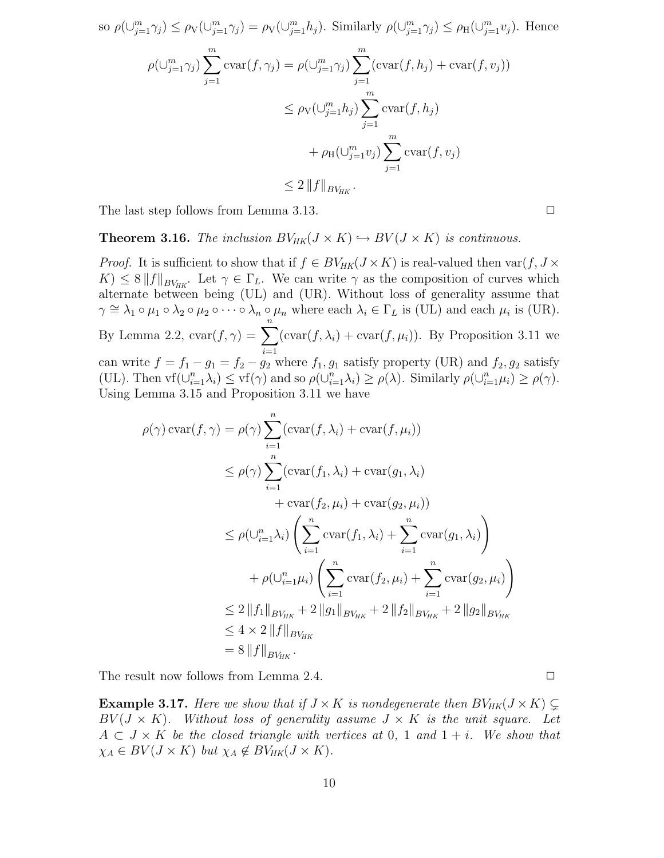so 
$$
\rho(\bigcup_{j=1}^{m}\gamma_j) \leq \rho_V(\bigcup_{j=1}^{m}\gamma_j) = \rho_V(\bigcup_{j=1}^{m}h_j)
$$
. Similarly  $\rho(\bigcup_{j=1}^{m}\gamma_j) \leq \rho_H(\bigcup_{j=1}^{m}v_j)$ . Hence  
\n
$$
\rho(\bigcup_{j=1}^{m}\gamma_j) \sum_{j=1}^{m} \text{cvar}(f, \gamma_j) = \rho(\bigcup_{j=1}^{m}\gamma_j) \sum_{j=1}^{m} (\text{cvar}(f, h_j) + \text{cvar}(f, v_j))
$$
\n
$$
\leq \rho_V(\bigcup_{j=1}^{m}h_j) \sum_{j=1}^{m} \text{cvar}(f, h_j)
$$
\n
$$
+ \rho_H(\bigcup_{j=1}^{m}v_j) \sum_{j=1}^{m} \text{cvar}(f, v_j)
$$
\n
$$
\leq 2 \|f\|_{BV_{HK}}.
$$

The last step follows from Lemma 3.13.  $\square$ 

**Theorem 3.16.** The inclusion  $BV_{HK}(J \times K) \hookrightarrow BV(J \times K)$  is continuous.

*Proof.* It is sufficient to show that if  $f \in BV_{HK}(J \times K)$  is real-valued then var $(f, J \times$  $K \leq 8 \|f\|_{BV_{HK}}$ . Let  $\gamma \in \Gamma_L$ . We can write  $\gamma$  as the composition of curves which alternate between being (UL) and (UR). Without loss of generality assume that  $\gamma \cong \lambda_1 \circ \mu_1 \circ \lambda_2 \circ \mu_2 \circ \cdots \circ \lambda_n \circ \mu_n$  where each  $\lambda_i \in \Gamma_L$  is (UL) and each  $\mu_i$  is (UR). By Lemma 2.2,  $\operatorname{cvar}(f, \gamma) = \sum_{n=1}^{\infty}$  $i=1$  $(\text{cvar}(f, \lambda_i) + \text{cvar}(f, \mu_i))$ . By Proposition 3.11 we can write  $f = f_1 - g_1 = f_2 - g_2$  where  $f_1, g_1$  satisfy property (UR) and  $f_2, g_2$  satisfy (UL). Then  $\text{vf}(\cup_{i=1}^n \lambda_i) \le \text{vf}(\gamma)$  and so  $\rho(\cup_{i=1}^n \lambda_i) \ge \rho(\lambda)$ . Similarly  $\rho(\cup_{i=1}^n \mu_i) \ge \rho(\gamma)$ . Using Lemma 3.15 and Proposition 3.11 we have

$$
\rho(\gamma) \operatorname{cvar}(f, \gamma) = \rho(\gamma) \sum_{i=1}^{n} (\operatorname{cvar}(f, \lambda_i) + \operatorname{cvar}(f, \mu_i))
$$
  
\n
$$
\leq \rho(\gamma) \sum_{i=1}^{n} (\operatorname{cvar}(f_1, \lambda_i) + \operatorname{cvar}(g_1, \lambda_i)
$$
  
\n
$$
+ \operatorname{cvar}(f_2, \mu_i) + \operatorname{cvar}(g_2, \mu_i))
$$
  
\n
$$
\leq \rho(\bigcup_{i=1}^{n} \lambda_i) \left( \sum_{i=1}^{n} \operatorname{cvar}(f_1, \lambda_i) + \sum_{i=1}^{n} \operatorname{cvar}(g_1, \lambda_i) \right)
$$
  
\n
$$
+ \rho(\bigcup_{i=1}^{n} \mu_i) \left( \sum_{i=1}^{n} \operatorname{cvar}(f_2, \mu_i) + \sum_{i=1}^{n} \operatorname{cvar}(g_2, \mu_i) \right)
$$
  
\n
$$
\leq 2 \|f_1\|_{BV_{HK}} + 2 \|g_1\|_{BV_{HK}} + 2 \|f_2\|_{BV_{HK}} + 2 \|g_2\|_{BV_{HK}}
$$
  
\n
$$
\leq 4 \times 2 \|f\|_{BV_{HK}}
$$
  
\n
$$
= 8 \|f\|_{BV_{HK}}.
$$

The result now follows from Lemma 2.4.  $\Box$ 

**Example 3.17.** Here we show that if  $J \times K$  is nondegenerate then  $BV_{HK}(J \times K) \subsetneq$  $BV(J \times K)$ . Without loss of generality assume  $J \times K$  is the unit square. Let  $A \subset J \times K$  be the closed triangle with vertices at 0, 1 and  $1 + i$ . We show that  $\chi_A \in BV(J \times K)$  but  $\chi_A \notin BV_{HK}(J \times K)$ .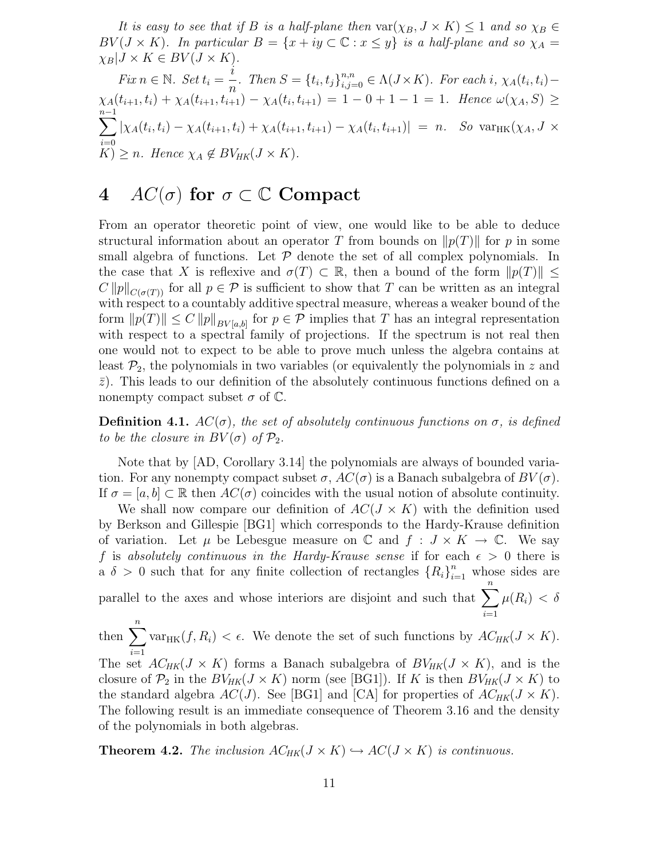It is easy to see that if B is a half-plane then  $\text{var}(\chi_B, J \times K) \leq 1$  and so  $\chi_B \in$  $BV(J \times K)$ . In particular  $B = \{x + iy \subset \mathbb{C} : x \leq y\}$  is a half-plane and so  $\chi_A =$  $\chi_B|J \times K \in BV(J \times K).$ 

Fix 
$$
n \in \mathbb{N}
$$
. Set  $t_i = \frac{i}{n}$ . Then  $S = \{t_i, t_j\}_{i,j=0}^{n,n} \in \Lambda(J \times K)$ . For each  $i$ ,  $\chi_A(t_i, t_i) - \chi_A(t_{i+1}, t_i) + \chi_A(t_{i+1}, t_{i+1}) - \chi_A(t_i, t_{i+1}) = 1 - 0 + 1 - 1 = 1$ . Hence  $\omega(\chi_A, S) \ge$   
\n
$$
\sum_{i=0}^{n-1} |\chi_A(t_i, t_i) - \chi_A(t_{i+1}, t_i) + \chi_A(t_{i+1}, t_{i+1}) - \chi_A(t_i, t_{i+1})| = n
$$
. So  $\text{var}_{HK}(\chi_A, J \times K) \ge n$ . Hence  $\chi_A \notin BV_{HK}(J \times K)$ .

### 4  $AC(\sigma)$  for  $\sigma \subset \mathbb{C}$  Compact

From an operator theoretic point of view, one would like to be able to deduce structural information about an operator T from bounds on  $\|p(T)\|$  for p in some small algebra of functions. Let  $P$  denote the set of all complex polynomials. In the case that X is reflexive and  $\sigma(T) \subset \mathbb{R}$ , then a bound of the form  $||p(T)|| \le$  $C ||p||_{C(\sigma(T))}$  for all  $p \in \mathcal{P}$  is sufficient to show that T can be written as an integral with respect to a countably additive spectral measure, whereas a weaker bound of the form  $||p(T)|| \leq C ||p||_{BV[a,b]}$  for  $p \in \mathcal{P}$  implies that T has an integral representation with respect to a spectral family of projections. If the spectrum is not real then one would not to expect to be able to prove much unless the algebra contains at least  $\mathcal{P}_2$ , the polynomials in two variables (or equivalently the polynomials in z and  $\bar{z}$ ). This leads to our definition of the absolutely continuous functions defined on a nonempty compact subset  $\sigma$  of  $\mathbb{C}$ .

**Definition 4.1.**  $AC(\sigma)$ , the set of absolutely continuous functions on  $\sigma$ , is defined to be the closure in  $BV(\sigma)$  of  $\mathcal{P}_2$ .

Note that by [AD, Corollary 3.14] the polynomials are always of bounded variation. For any nonempty compact subset  $\sigma$ ,  $AC(\sigma)$  is a Banach subalgebra of  $BV(\sigma)$ . If  $\sigma = [a, b] \subset \mathbb{R}$  then  $AC(\sigma)$  coincides with the usual notion of absolute continuity.

We shall now compare our definition of  $AC(J \times K)$  with the definition used by Berkson and Gillespie [BG1] which corresponds to the Hardy-Krause definition of variation. Let  $\mu$  be Lebesgue measure on C and  $f: J \times K \to \mathbb{C}$ . We say f is absolutely continuous in the Hardy-Krause sense if for each  $\epsilon > 0$  there is a  $\delta > 0$  such that for any finite collection of rectangles  $\{R_i\}_{i=1}^n$  whose sides are parallel to the axes and whose interiors are disjoint and such that  $\sum_{n=1}^{n}$  $\mu(R_i) < \delta$ 

 $i=1$ then  $\sum_{n=1}^n$  $\frac{i=1}{i}$ var<sub>HK</sub> $(f, R_i) < \epsilon$ . We denote the set of such functions by  $AC_{HK}(J \times K)$ . The set  $AC_{HK}(J \times K)$  forms a Banach subalgebra of  $BV_{HK}(J \times K)$ , and is the closure of  $\mathcal{P}_2$  in the  $BV_{HK}(J \times K)$  norm (see [BG1]). If K is then  $BV_{HK}(J \times K)$  to the standard algebra  $AC(J)$ . See [BG1] and [CA] for properties of  $AC_{HK}(J \times K)$ . The following result is an immediate consequence of Theorem 3.16 and the density of the polynomials in both algebras.

**Theorem 4.2.** The inclusion  $AC_{HK}(J \times K) \hookrightarrow AC(J \times K)$  is continuous.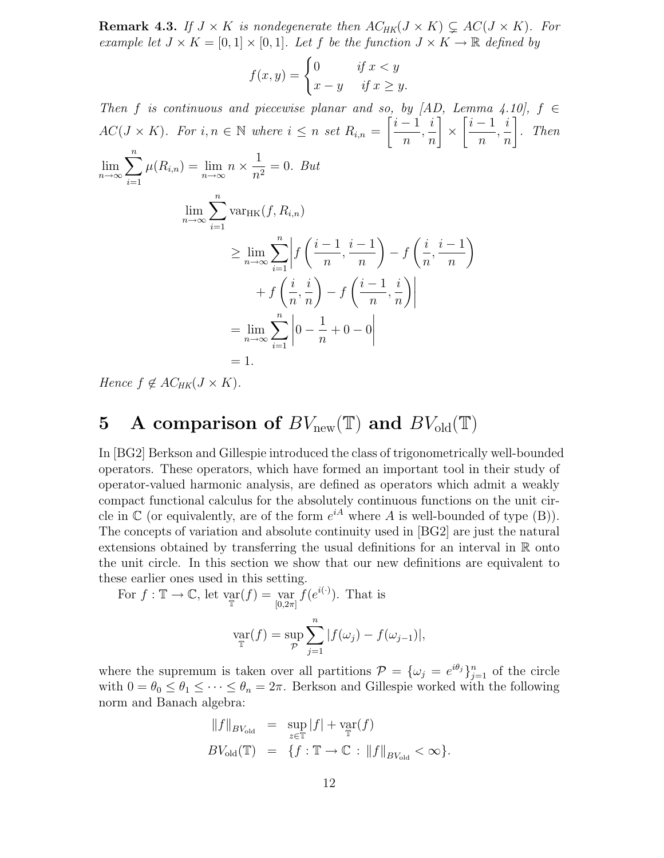**Remark 4.3.** If  $J \times K$  is nondegenerate then  $AC_{HK}(J \times K) \subsetneq AC(J \times K)$ . For example let  $J \times K = [0,1] \times [0,1]$ . Let f be the function  $J \times K \to \mathbb{R}$  defined by

$$
f(x,y) = \begin{cases} 0 & \text{if } x < y \\ x - y & \text{if } x \ge y. \end{cases}
$$

Then f is continuous and piecewise planar and so, by  $[AD, Lemma 4.10], f \in$  $AC(J \times K)$ . For  $i, n \in \mathbb{N}$  where  $i \leq n$  set  $R_{i,n} =$  $\left[ \frac{i-1}{2} \right]$ n , i n T ×  $\left[ \frac{i-1}{2} \right]$ n , i n 1 . Then  $\lim_{n\to\infty}$  $\sum_{n=1}^{\infty}$  $\sum_{i=1}^n \mu(R_{i,n}) = \lim_{n \to \infty} n \times \frac{1}{n^2}$  $\frac{1}{n^2} = 0$ . But  $\lim_{n\to\infty}$  $\sum_{n=1}^{\infty}$  $i=1$  $var_{HK}(f, R_{i,n})$  $\geq \lim_{n\to\infty}$  $\sum_{i=1}^n\bigg|$  $\frac{i=1}{i}$ f  $\left(\frac{i-1}{i}\right)$ n  $\frac{i-1}{i}$ n  $\setminus$  $- f$  $\int i$  $\overline{n}$  $\frac{i-1}{i}$ n  $\lambda$  $+ f$  $\int i$ n , i n  $\lambda$  $-f$  $\left(\frac{i-1}{i}\right)$  $\overline{n}$ , i n  $\bigg) \bigg|$  $=\lim_{n\to\infty}$  $\sum_{n=1}^{\infty}$  $i=1$  $\Big|0 -$ 1  $\frac{1}{n} + 0 = 0$   $= 1.$ 

Hence  $f \notin AC_{HK}(J \times K)$ .

# 5 A comparison of  $BV_{\text{new}}(\mathbb{T})$  and  $BV_{\text{old}}(\mathbb{T})$

In [BG2] Berkson and Gillespie introduced the class of trigonometrically well-bounded operators. These operators, which have formed an important tool in their study of operator-valued harmonic analysis, are defined as operators which admit a weakly compact functional calculus for the absolutely continuous functions on the unit circle in  $\mathbb C$  (or equivalently, are of the form  $e^{iA}$  where A is well-bounded of type (B)). The concepts of variation and absolute continuity used in [BG2] are just the natural extensions obtained by transferring the usual definitions for an interval in R onto the unit circle. In this section we show that our new definitions are equivalent to these earlier ones used in this setting.

For 
$$
f : \mathbb{T} \to \mathbb{C}
$$
, let  $\operatorname*{var}_{\mathbb{T}}(f) = \operatorname*{var}_{[0,2\pi]} f(e^{i(\cdot)})$ . That is  

$$
\operatorname*{var}_{\mathbb{T}}(f) = \operatorname*{sup}_{\mathcal{P}} \sum_{j=1}^{n} |f(\omega_j) - f(\omega_{j-1})|,
$$

where the supremum is taken over all partitions  $\mathcal{P} = {\{\omega_j = e^{i\theta_j}\}}_{j=1}^n$  of the circle with  $0 = \theta_0 \leq \theta_1 \leq \cdots \leq \theta_n = 2\pi$ . Berkson and Gillespie worked with the following norm and Banach algebra:

$$
\label{eq:2.1} \begin{array}{rcl} \|f\|_{BV_{\text{old}}} & = & \sup_{z\in\mathbb{T}} |f| + \text{var}(f) \\ BV_{\text{old}}(\mathbb{T}) & = & \{f: \mathbb{T} \rightarrow \mathbb{C} \, : \, \|f\|_{BV_{\text{old}}} < \infty\}. \end{array}
$$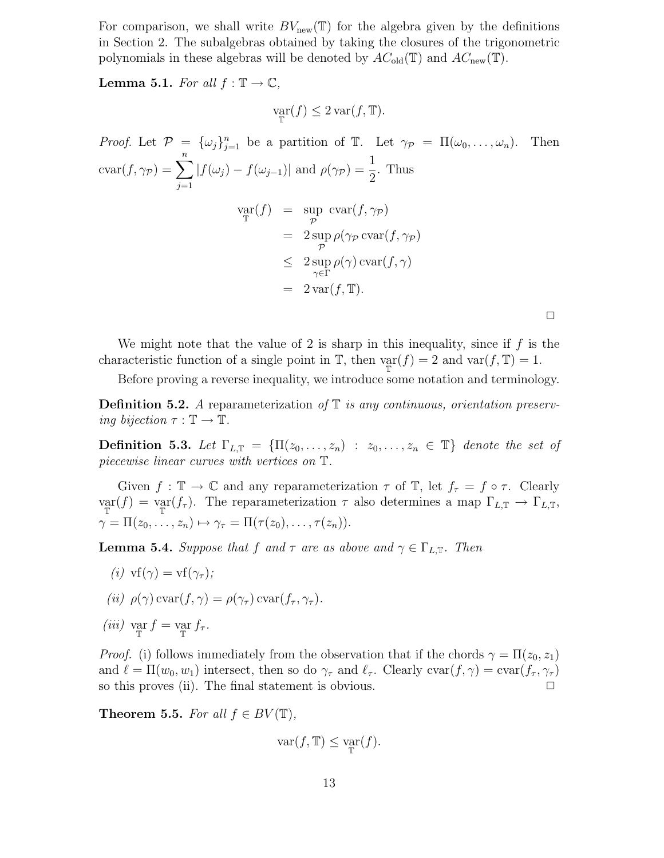For comparison, we shall write  $BV_{\text{new}}(\mathbb{T})$  for the algebra given by the definitions in Section 2. The subalgebras obtained by taking the closures of the trigonometric polynomials in these algebras will be denoted by  $AC_{old}(\mathbb{T})$  and  $AC_{new}(\mathbb{T})$ .

**Lemma 5.1.** For all  $f : \mathbb{T} \to \mathbb{C}$ ,

$$
\operatorname*{var}_{\mathbb{T}}(f) \leq 2 \operatorname*{var}(f, \mathbb{T}).
$$

*Proof.* Let  $P = {\{\omega_j\}}_{j=1}^n$  be a partition of  $\mathbb{T}$ . Let  $\gamma_P = \Pi(\omega_0, \dots, \omega_n)$ . Then  $\operatorname{cvar}(f, \gamma_{\mathcal{P}}) = \sum_{n=1}^{n}$  $j=1$  $|f(\omega_j) - f(\omega_{j-1})|$  and  $\rho(\gamma_P) = \frac{1}{2}$ . Thus  $\operatorname*{var}_{\mathbb{T}}(f) = \operatorname*{sup}_{\mathcal{P}}$ up  $\operatorname{cvar}(f, \gamma_{\mathcal{P}})$  $= 2 \sup$  $\operatorname*{up}\limits_{\mathcal{P}}\rho(\gamma_{\mathcal{P}}\operatorname*{cvar}(f,\gamma_{\mathcal{P}}))$ ≤ 2 sup γ∈Γ  $\rho(\gamma)$  cvar $(f, \gamma)$  $= 2 \text{var}(f, \mathbb{T}).$  $\Box$ 

We might note that the value of 2 is sharp in this inequality, since if  $f$  is the characteristic function of a single point in  $\mathbb{T}$ , then  $\varphi_{\mathbb{T}}(f) = 2$  and  $\text{var}(f, \mathbb{T}) = 1$ .

Before proving a reverse inequality, we introduce some notation and terminology.

**Definition 5.2.** A reparameterization of  $\mathbb T$  is any continuous, orientation preserving bijection  $\tau : \mathbb{T} \to \mathbb{T}$ .

Definition 5.3. Let  $\Gamma_{L,\mathbb{T}} = {\Pi(z_0,\ldots,z_n) : z_0,\ldots,z_n \in \mathbb{T}}$  denote the set of piecewise linear curves with vertices on T.

Given  $f : \mathbb{T} \to \mathbb{C}$  and any reparameterization  $\tau$  of  $\mathbb{T}$ , let  $f_{\tau} = f \circ \tau$ . Clearly  $\text{var}(f) = \text{var}(f_\tau).$  The reparameterization  $\tau$  also determines a map  $\Gamma_{L,\mathbb{T}} \to \Gamma_{L,\mathbb{T}},$  $\gamma = \Pi(z_0, \ldots, z_n) \mapsto \gamma_\tau = \Pi(\tau(z_0), \ldots, \tau(z_n)).$ 

**Lemma 5.4.** Suppose that f and  $\tau$  are as above and  $\gamma \in \Gamma_{L,\mathbb{T}}$ . Then

- (i)  $\text{vf}(\gamma) = \text{vf}(\gamma_\tau);$
- (ii)  $\rho(\gamma) \text{ cvar}(f, \gamma) = \rho(\gamma_\tau) \text{ cvar}(f_\tau, \gamma_\tau).$
- (*iii*)  $\operatorname*{var}_{\mathbb{T}} f = \operatorname*{var}_{\mathbb{T}} f_{\tau}.$

*Proof.* (i) follows immediately from the observation that if the chords  $\gamma = \Pi(z_0, z_1)$ and  $\ell = \Pi(w_0, w_1)$  intersect, then so do  $\gamma_\tau$  and  $\ell_\tau$ . Clearly  $\text{cvar}(f, \gamma) = \text{cvar}(f_\tau, \gamma_\tau)$ so this proves (ii). The final statement is obvious.  $\Box$ 

Theorem 5.5. For all  $f \in BV(\mathbb{T})$ ,

$$
\text{var}(f, \mathbb{T}) \le \text{var}(f).
$$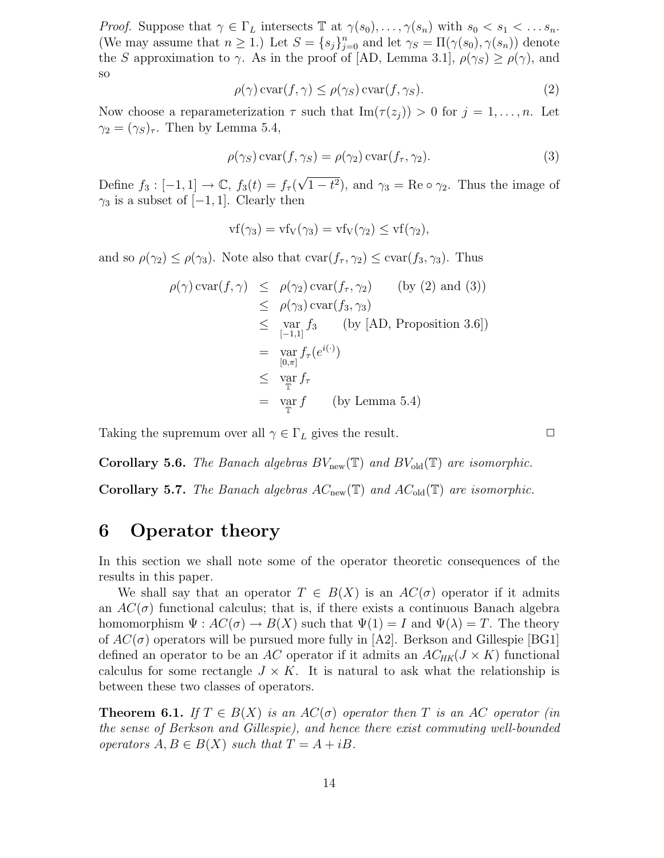*Proof.* Suppose that  $\gamma \in \Gamma_L$  intersects  $\mathbb T$  at  $\gamma(s_0), \ldots, \gamma(s_n)$  with  $s_0 < s_1 < \ldots s_n$ . (We may assume that  $n \geq 1$ .) Let  $S = \{s_j\}_{j=0}^n$  and let  $\gamma_S = \Pi(\gamma(s_0), \gamma(s_n))$  denote the S approximation to  $\gamma$ . As in the proof of [AD, Lemma 3.1],  $\rho(\gamma_S) \geq \rho(\gamma)$ , and so

$$
\rho(\gamma)\operatorname{cvar}(f,\gamma) \le \rho(\gamma_S)\operatorname{cvar}(f,\gamma_S). \tag{2}
$$

Now choose a reparameterization  $\tau$  such that  $\text{Im}(\tau(z_i)) > 0$  for  $j = 1, \ldots, n$ . Let  $\gamma_2 = (\gamma_S)_{\tau}$ . Then by Lemma 5.4,

$$
\rho(\gamma_S) \operatorname{cvar}(f, \gamma_S) = \rho(\gamma_2) \operatorname{cvar}(f_\tau, \gamma_2). \tag{3}
$$

Define  $f_3: [-1,1] \to \mathbb{C}$ ,  $f_3(t) = f_\tau(\sqrt{1-t^2})$ , and  $\gamma_3 = \text{Re}\circ\gamma_2$ . Thus the image of  $\gamma_3$  is a subset of  $[-1, 1]$ . Clearly then

$$
vf(\gamma_3) = vf_V(\gamma_3) = vf_V(\gamma_2) \le vf(\gamma_2),
$$

and so  $\rho(\gamma_2) \leq \rho(\gamma_3)$ . Note also that  $\text{cvar}(f_\tau, \gamma_2) \leq \text{cvar}(f_3, \gamma_3)$ . Thus

$$
\rho(\gamma) \operatorname{cvar}(f, \gamma) \leq \rho(\gamma_2) \operatorname{cvar}(f_{\tau}, \gamma_2) \qquad \text{(by (2) and (3))}
$$
  
\n
$$
\leq \rho(\gamma_3) \operatorname{cvar}(f_3, \gamma_3)
$$
  
\n
$$
\leq \operatorname{var}_{[-1,1]} f_3 \qquad \text{(by [AD, Proposition 3.6])}
$$
  
\n
$$
= \operatorname{var}_{[0,\pi]} f_{\tau}(e^{i(\cdot)})
$$
  
\n
$$
\leq \operatorname{var}_{\mathbb{T}} f_{\tau}
$$
  
\n
$$
= \operatorname{var}_{\mathbb{T}} f \qquad \text{(by Lemma 5.4)}
$$

Taking the supremum over all  $\gamma \in \Gamma_L$  gives the result.  $\Box$ 

**Corollary 5.6.** The Banach algebras  $BV_{\text{new}}(\mathbb{T})$  and  $BV_{\text{old}}(\mathbb{T})$  are isomorphic.

**Corollary 5.7.** The Banach algebras  $AC_{\text{new}}(\mathbb{T})$  and  $AC_{\text{old}}(\mathbb{T})$  are isomorphic.

#### 6 Operator theory

In this section we shall note some of the operator theoretic consequences of the results in this paper.

We shall say that an operator  $T \in B(X)$  is an  $AC(\sigma)$  operator if it admits an  $AC(\sigma)$  functional calculus; that is, if there exists a continuous Banach algebra homomorphism  $\Psi: AC(\sigma) \to B(X)$  such that  $\Psi(1) = I$  and  $\Psi(\lambda) = T$ . The theory of  $AC(\sigma)$  operators will be pursued more fully in [A2]. Berkson and Gillespie [BG1] defined an operator to be an AC operator if it admits an  $AC_{HK}(J \times K)$  functional calculus for some rectangle  $J \times K$ . It is natural to ask what the relationship is between these two classes of operators.

**Theorem 6.1.** If  $T \in B(X)$  is an  $AC(\sigma)$  operator then T is an AC operator (in the sense of Berkson and Gillespie), and hence there exist commuting well-bounded operators  $A, B \in B(X)$  such that  $T = A + iB$ .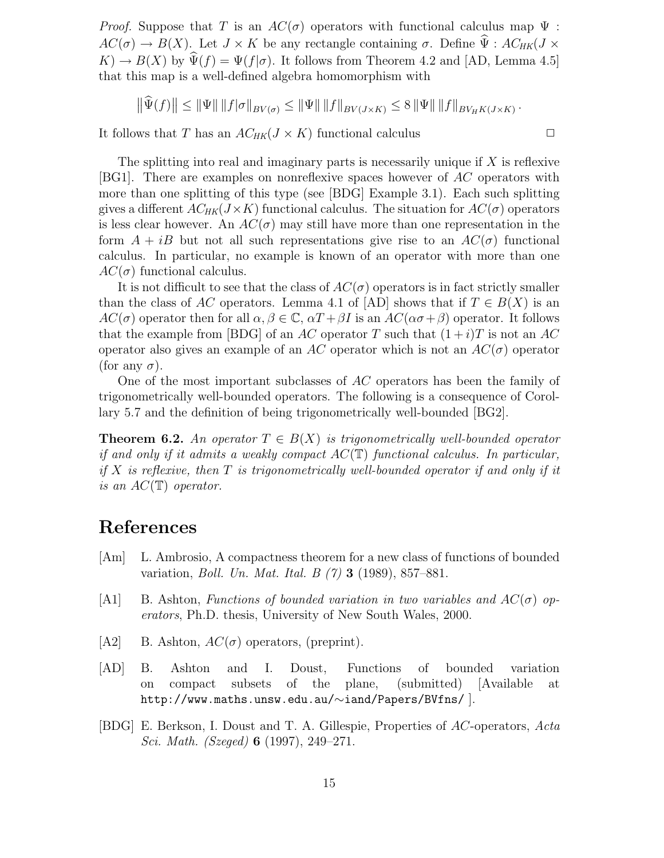*Proof.* Suppose that T is an  $AC(\sigma)$  operators with functional calculus map  $\Psi$ :  $AC(\sigma) \rightarrow B(X)$ . Let  $J \times K$  be any rectangle containing  $\sigma$ . Define  $\hat{\Psi}$ :  $AC_{HK}(J \times$  $K$   $\rightarrow$   $B(X)$  by  $\widehat{\Psi}(f) = \Psi(f|\sigma)$ . It follows from Theorem 4.2 and [AD, Lemma 4.5] that this map is a well-defined algebra homomorphism with

$$
\left\|\widehat{\Psi}(f)\right\| \le \left\|\Psi\right\| \|f|\sigma\|_{BV(\sigma)} \le \left\|\Psi\right\| \|f\|_{BV(J\times K)} \le 8 \left\|\Psi\right\| \|f\|_{BV_HK(J\times K)}.
$$

It follows that T has an  $AC_{HK}(J \times K)$  functional calculus  $\square$ 

The splitting into real and imaginary parts is necessarily unique if  $X$  is reflexive [BG1]. There are examples on nonreflexive spaces however of AC operators with more than one splitting of this type (see [BDG] Example 3.1). Each such splitting gives a different  $AC_{HK}(J \times K)$  functional calculus. The situation for  $AC(\sigma)$  operators is less clear however. An  $AC(\sigma)$  may still have more than one representation in the form  $A + iB$  but not all such representations give rise to an  $AC(\sigma)$  functional calculus. In particular, no example is known of an operator with more than one  $AC(\sigma)$  functional calculus.

It is not difficult to see that the class of  $AC(\sigma)$  operators is in fact strictly smaller than the class of AC operators. Lemma 4.1 of [AD] shows that if  $T \in B(X)$  is an  $AC(\sigma)$  operator then for all  $\alpha, \beta \in \mathbb{C}$ ,  $\alpha T + \beta I$  is an  $AC(\alpha \sigma + \beta)$  operator. It follows that the example from [BDG] of an AC operator T such that  $(1+i)T$  is not an AC operator also gives an example of an AC operator which is not an  $AC(\sigma)$  operator (for any  $\sigma$ ).

One of the most important subclasses of AC operators has been the family of trigonometrically well-bounded operators. The following is a consequence of Corollary 5.7 and the definition of being trigonometrically well-bounded [BG2].

**Theorem 6.2.** An operator  $T \in B(X)$  is trigonometrically well-bounded operator if and only if it admits a weakly compact  $AC(\mathbb{T})$  functional calculus. In particular, if X is reflexive, then  $T$  is trigonometrically well-bounded operator if and only if it is an  $AC(\mathbb{T})$  operator.

## References

- [Am] L. Ambrosio, A compactness theorem for a new class of functions of bounded variation, Boll. Un. Mat. Ital. B (7) 3 (1989), 857–881.
- [A1] B. Ashton, Functions of bounded variation in two variables and  $AC(\sigma)$  operators, Ph.D. thesis, University of New South Wales, 2000.
- [A2] B. Ashton,  $AC(\sigma)$  operators, (preprint).
- [AD] B. Ashton and I. Doust, Functions of bounded variation on compact subsets of the plane, (submitted) [Available at http://www.maths.unsw.edu.au/∼iand/Papers/BVfns/ ].
- [BDG] E. Berkson, I. Doust and T. A. Gillespie, Properties of AC-operators, Acta Sci. Math. (Szeged) 6 (1997), 249–271.